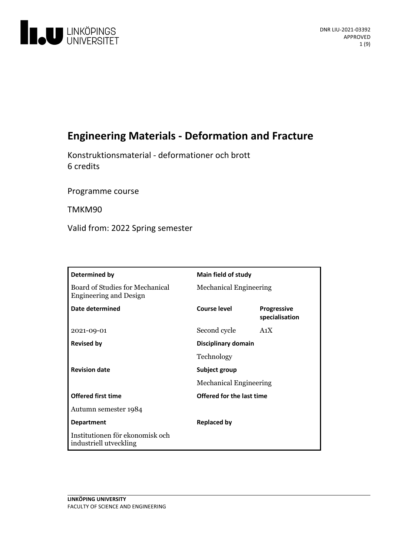

# **Engineering Materials - Deformation and Fracture**

Konstruktionsmaterial - deformationer och brott 6 credits

Programme course

TMKM90

Valid from: 2022 Spring semester

| Determined by                                                    | Main field of study           |                                      |
|------------------------------------------------------------------|-------------------------------|--------------------------------------|
| Board of Studies for Mechanical<br><b>Engineering and Design</b> | <b>Mechanical Engineering</b> |                                      |
| Date determined                                                  | <b>Course level</b>           | <b>Progressive</b><br>specialisation |
| 2021-09-01                                                       | Second cycle                  | A <sub>1</sub> X                     |
| <b>Revised by</b>                                                | Disciplinary domain           |                                      |
|                                                                  | Technology                    |                                      |
| <b>Revision date</b>                                             | Subject group                 |                                      |
|                                                                  | <b>Mechanical Engineering</b> |                                      |
| <b>Offered first time</b>                                        | Offered for the last time     |                                      |
| Autumn semester 1984                                             |                               |                                      |
| <b>Department</b>                                                | <b>Replaced by</b>            |                                      |
| Institutionen för ekonomisk och<br>industriell utveckling        |                               |                                      |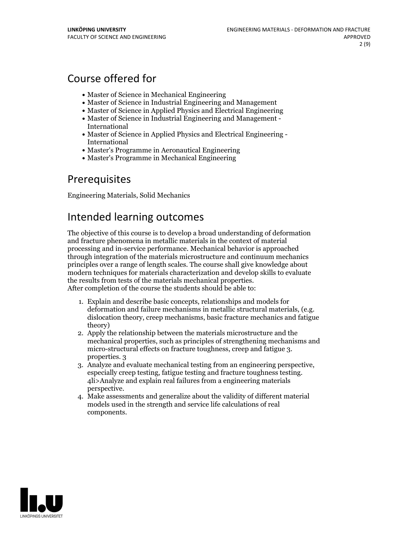## Course offered for

- Master of Science in Mechanical Engineering
- Master of Science in Industrial Engineering and Management
- Master of Science in Applied Physics and Electrical Engineering
- Master of Science in Industrial Engineering and Management International
- Master of Science in Applied Physics and Electrical Engineering International
- Master's Programme in Aeronautical Engineering
- Master's Programme in Mechanical Engineering

## Prerequisites

Engineering Materials, Solid Mechanics

## Intended learning outcomes

The objective ofthis course is to develop a broad understanding of deformation and fracture phenomena in metallic materials in the context of material processing and in-service performance. Mechanical behavior is approached through integration of the materials microstructure and continuum mechanics principles over a range oflength scales. The course shall give knowledge about modern techniques for materials characterization and develop skills to evaluate

After completion of the course the students should be able to:

- 1. Explain and describe basic concepts, relationships and models for deformation and failure mechanisms in metallic structural materials, (e.g. dislocation theory, creep mechanisms, basic fracture mechanics and fatigue theory)
- 2. Apply the relationship between the materials microstructure and the mechanical properties, such as principles of strengthening mechanisms and micro-structural effects on fracture toughness, creep and fatigue 3. properties. 3
- 3. Analyze and evaluate mechanical testing from an engineering perspective, especially creep testing, fatigue testing and fracture toughness testing. 4li>Analyze and explain real failures from <sup>a</sup> engineering materials perspective. 4. Make assessments and generalize about the validity of different material
- models used in the strength and service life calculations of real components.

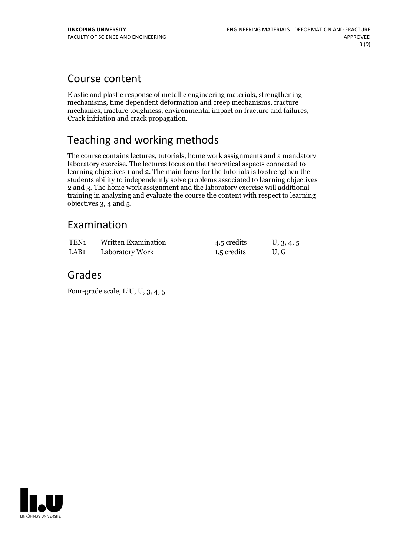## Course content

Elastic and plastic response of metallic engineering materials, strengthening mechanisms, time dependent deformation and creep mechanisms, fracture mechanics, fracture toughness, environmental impact on fracture and failures, Crack initiation and crack propagation.

## Teaching and working methods

The course contains lectures, tutorials, home work assignments and a mandatory laboratory exercise. The lectures focus on the theoretical aspects connected to learning objectives 1 and 2. The main focus for the tutorials is to strengthen the students ability to independently solve problems associated to learning objectives 2 and 3. The home work assignment and the laboratory exercise will additional training in analyzing and evaluate the course the content with respect to learning objectives 3, 4 and 5.

## Examination

| TEN1 | Written Examination | 4.5 credits | U, 3, 4, 5 |
|------|---------------------|-------------|------------|
| LAB1 | Laboratory Work     | 1.5 credits | U.G        |

## Grades

Four-grade scale, LiU, U, 3, 4, 5

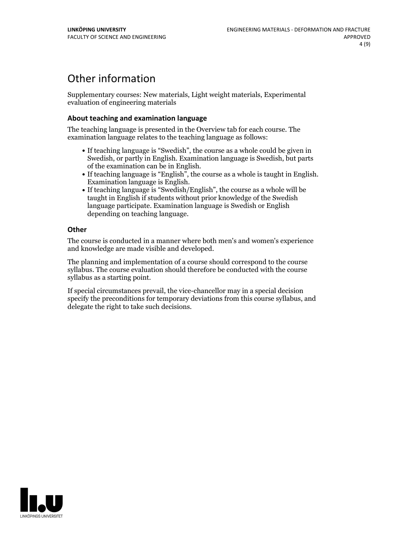## Other information

Supplementary courses: New materials, Light weight materials, Experimental evaluation of engineering materials

### **About teaching and examination language**

The teaching language is presented in the Overview tab for each course. The examination language relates to the teaching language as follows:

- If teaching language is "Swedish", the course as a whole could be given in Swedish, or partly in English. Examination language is Swedish, but parts
- of the examination can be in English. If teaching language is "English", the course as <sup>a</sup> whole is taught in English. Examination language is English. If teaching language is "Swedish/English", the course as <sup>a</sup> whole will be
- taught in English if students without prior knowledge of the Swedish language participate. Examination language is Swedish or English depending on teaching language.

### **Other**

The course is conducted in a manner where both men's and women's experience and knowledge are made visible and developed.

The planning and implementation of a course should correspond to the course syllabus. The course evaluation should therefore be conducted with the course syllabus as a starting point.

If special circumstances prevail, the vice-chancellor may in a special decision specify the preconditions for temporary deviations from this course syllabus, and delegate the right to take such decisions.

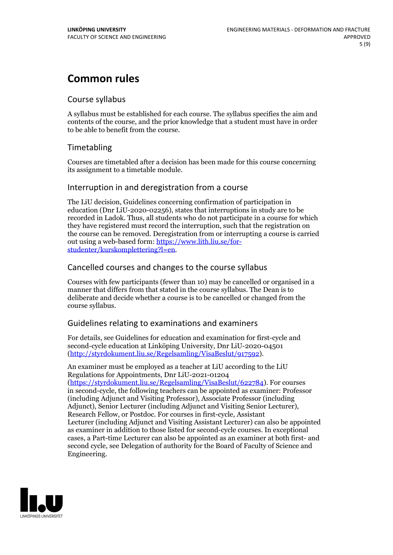## **Common rules**

### Course syllabus

A syllabus must be established for each course. The syllabus specifies the aim and contents of the course, and the prior knowledge that a student must have in order to be able to benefit from the course.

## Timetabling

Courses are timetabled after a decision has been made for this course concerning its assignment to a timetable module.

### Interruption in and deregistration from a course

The LiU decision, Guidelines concerning confirmation of participation in education (Dnr LiU-2020-02256), states that interruptions in study are to be recorded in Ladok. Thus, all students who do not participate in a course for which they have registered must record the interruption, such that the registration on the course can be removed. Deregistration from or interrupting a course is carried out using <sup>a</sup> web-based form: https://www.lith.liu.se/for- [studenter/kurskomplettering?l=en.](https://www.lith.liu.se/for-studenter/kurskomplettering?l=en)

## Cancelled coursesand changes to the course syllabus

Courses with few participants (fewer than 10) may be cancelled or organised in a manner that differs from that stated in the course syllabus. The Dean is to deliberate and decide whether a course is to be cancelled or changed from the course syllabus.

## Guidelines relating to examinations and examiners

For details, see Guidelines for education and examination for first-cycle and second-cycle education at Linköping University, Dnr LiU-2020-04501 [\(http://styrdokument.liu.se/Regelsamling/VisaBeslut/917592\)](http://styrdokument.liu.se/Regelsamling/VisaBeslut/917592).

An examiner must be employed as a teacher at LiU according to the LiU Regulations for Appointments, Dnr LiU-2021-01204 [\(https://styrdokument.liu.se/Regelsamling/VisaBeslut/622784](https://styrdokument.liu.se/Regelsamling/VisaBeslut/622784)). For courses in second-cycle, the following teachers can be appointed as examiner: Professor (including Adjunct and Visiting Professor), Associate Professor (including Adjunct), Senior Lecturer (including Adjunct and Visiting Senior Lecturer), Research Fellow, or Postdoc. For courses in first-cycle, Assistant Lecturer (including Adjunct and Visiting Assistant Lecturer) can also be appointed as examiner in addition to those listed for second-cycle courses. In exceptional cases, a Part-time Lecturer can also be appointed as an examiner at both first- and second cycle, see Delegation of authority for the Board of Faculty of Science and Engineering.

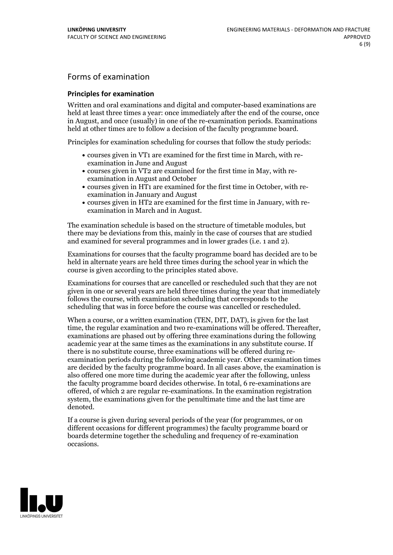## Forms of examination

### **Principles for examination**

Written and oral examinations and digital and computer-based examinations are held at least three times a year: once immediately after the end of the course, once in August, and once (usually) in one of the re-examination periods. Examinations held at other times are to follow a decision of the faculty programme board.

Principles for examination scheduling for courses that follow the study periods:

- courses given in VT1 are examined for the first time in March, with re-examination in June and August
- courses given in VT2 are examined for the first time in May, with re-examination in August and October
- courses given in HT1 are examined for the first time in October, with re-examination in January and August
- courses given in HT2 are examined for the first time in January, with re-examination in March and in August.

The examination schedule is based on the structure of timetable modules, but there may be deviations from this, mainly in the case of courses that are studied and examined for several programmes and in lower grades (i.e. 1 and 2).

Examinations for courses that the faculty programme board has decided are to be held in alternate years are held three times during the school year in which the course is given according to the principles stated above.

Examinations for courses that are cancelled orrescheduled such that they are not given in one or several years are held three times during the year that immediately follows the course, with examination scheduling that corresponds to the scheduling that was in force before the course was cancelled or rescheduled.

When a course, or a written examination (TEN, DIT, DAT), is given for the last time, the regular examination and two re-examinations will be offered. Thereafter, examinations are phased out by offering three examinations during the following academic year at the same times as the examinations in any substitute course. If there is no substitute course, three examinations will be offered during re- examination periods during the following academic year. Other examination times are decided by the faculty programme board. In all cases above, the examination is also offered one more time during the academic year after the following, unless the faculty programme board decides otherwise. In total, 6 re-examinations are offered, of which 2 are regular re-examinations. In the examination registration system, the examinations given for the penultimate time and the last time are denoted.

If a course is given during several periods of the year (for programmes, or on different occasions for different programmes) the faculty programme board or boards determine together the scheduling and frequency of re-examination occasions.

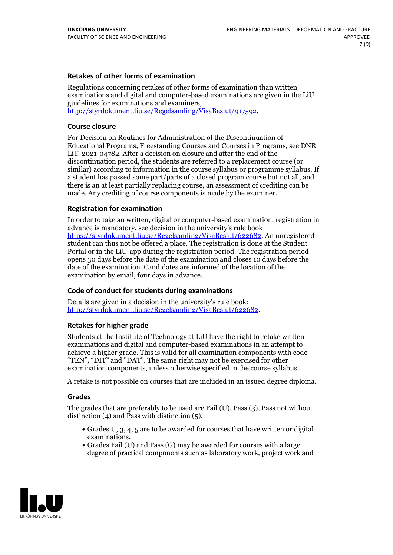### **Retakes of other forms of examination**

Regulations concerning retakes of other forms of examination than written examinations and digital and computer-based examinations are given in the LiU guidelines for examinations and examiners, [http://styrdokument.liu.se/Regelsamling/VisaBeslut/917592.](http://styrdokument.liu.se/Regelsamling/VisaBeslut/917592)

#### **Course closure**

For Decision on Routines for Administration of the Discontinuation of Educational Programs, Freestanding Courses and Courses in Programs, see DNR LiU-2021-04782. After a decision on closure and after the end of the discontinuation period, the students are referred to a replacement course (or similar) according to information in the course syllabus or programme syllabus. If a student has passed some part/parts of a closed program course but not all, and there is an at least partially replacing course, an assessment of crediting can be made. Any crediting of course components is made by the examiner.

### **Registration for examination**

In order to take an written, digital or computer-based examination, registration in advance is mandatory, see decision in the university's rule book [https://styrdokument.liu.se/Regelsamling/VisaBeslut/622682.](https://styrdokument.liu.se/Regelsamling/VisaBeslut/622682) An unregistered student can thus not be offered a place. The registration is done at the Student Portal or in the LiU-app during the registration period. The registration period opens 30 days before the date of the examination and closes 10 days before the date of the examination. Candidates are informed of the location of the examination by email, four days in advance.

### **Code of conduct for students during examinations**

Details are given in a decision in the university's rule book: <http://styrdokument.liu.se/Regelsamling/VisaBeslut/622682>.

#### **Retakes for higher grade**

Students at the Institute of Technology at LiU have the right to retake written examinations and digital and computer-based examinations in an attempt to achieve a higher grade. This is valid for all examination components with code "TEN", "DIT" and "DAT". The same right may not be exercised for other examination components, unless otherwise specified in the course syllabus.

A retake is not possible on courses that are included in an issued degree diploma.

#### **Grades**

The grades that are preferably to be used are Fail (U), Pass (3), Pass not without distinction  $(4)$  and Pass with distinction  $(5)$ .

- Grades U, 3, 4, 5 are to be awarded for courses that have written or digital examinations.<br>• Grades Fail (U) and Pass (G) may be awarded for courses with a large
- degree of practical components such as laboratory work, project work and

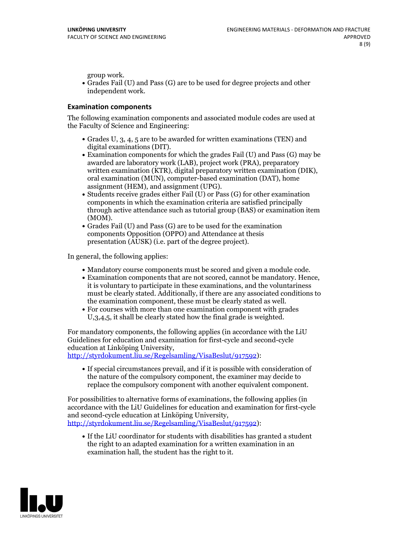group work.<br>• Grades Fail (U) and Pass (G) are to be used for degree projects and other independent work.

### **Examination components**

The following examination components and associated module codes are used at the Faculty of Science and Engineering:

- Grades U, 3, 4, 5 are to be awarded for written examinations (TEN) and
- digital examinations (DIT).<br>• Examination components for which the grades Fail (U) and Pass (G) may be awarded are laboratory work (LAB), project work (PRA), preparatory written examination (KTR), digital preparatory written examination (DIK), oral examination (MUN), computer-based examination (DAT), home
- assignment (HEM), and assignment (UPG).<br>• Students receive grades either Fail (U) or Pass (G) for other examination components in which the examination criteria are satisfied principally through active attendance such as tutorial group (BAS) or examination item
- (MOM).<br>• Grades Fail (U) and Pass (G) are to be used for the examination components Opposition (OPPO) and Attendance at thesis presentation (AUSK) (i.e. part of the degree project).

In general, the following applies:

- 
- Mandatory course components must be scored and given <sup>a</sup> module code. Examination components that are not scored, cannot be mandatory. Hence, it is voluntary to participate in these examinations, and the voluntariness must be clearly stated. Additionally, if there are any associated conditions to
- the examination component, these must be clearly stated as well.<br>• For courses with more than one examination component with grades U,3,4,5, it shall be clearly stated how the final grade is weighted.

For mandatory components, the following applies (in accordance with the LiU Guidelines for education and examination for first-cycle and second-cycle

[http://styrdokument.liu.se/Regelsamling/VisaBeslut/917592\)](http://styrdokument.liu.se/Regelsamling/VisaBeslut/917592):

If special circumstances prevail, and if it is possible with consideration of the nature of the compulsory component, the examiner may decide to replace the compulsory component with another equivalent component.

For possibilities to alternative forms of examinations, the following applies (in accordance with the LiU Guidelines for education and examination for first-cycle [http://styrdokument.liu.se/Regelsamling/VisaBeslut/917592\)](http://styrdokument.liu.se/Regelsamling/VisaBeslut/917592):

If the LiU coordinator for students with disabilities has granted a student the right to an adapted examination for a written examination in an examination hall, the student has the right to it.